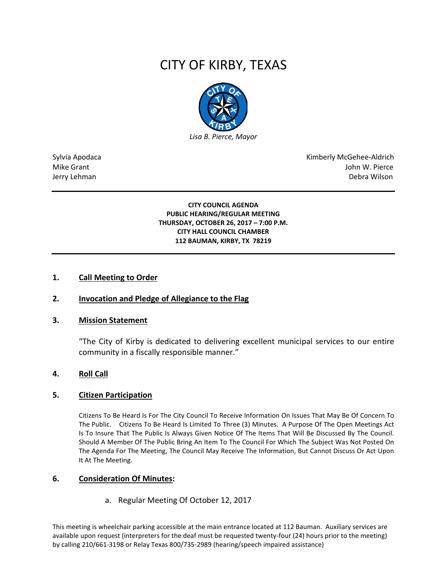# CITY OF KIRBY, TEXAS



Sylvia Apodaca National Apodaca Kimberly McGehee-Aldrich Mike Grant John W. Pierce Jerry Lehman Debra Wilson (2008) and the state of the state of the state of the state of the state of the state of the state of the state of the state of the state of the state of the state of the state of the state of the

> **CITY COUNCIL AGENDA PUBLIC HEARING/REGULAR MEETING THURSDAY, OCTOBER 26, 2017 – 7:00 P.M. CITY HALL COUNCIL CHAMBER 112 BAUMAN, KIRBY, TX 78219**

#### **1. Call Meeting to Order**

## **2. Invocation and Pledge of Allegiance to the Flag**

#### **3. Mission Statement**

"The City of Kirby is dedicated to delivering excellent municipal services to our entire community in a fiscally responsible manner."

#### **4. Roll Call**

#### **5. Citizen Participation**

Citizens To Be Heard Is For The City Council To Receive Information On Issues That May Be Of Concern To The Public. Citizens To Be Heard Is Limited To Three (3) Minutes. A Purpose Of The Open Meetings Act Is To Insure That The Public Is Always Given Notice Of The Items That Will Be Discussed By The Council. Should A Member Of The Public Bring An Item To The Council For Which The Subject Was Not Posted On The Agenda For The Meeting, The Council May Receive The Information, But Cannot Discuss Or Act Upon It At The Meeting.

#### **6. Consideration Of Minutes:**

a. Regular Meeting Of October 12, 2017

This meeting is wheelchair parking accessible at the main entrance located at 112 Bauman. Auxiliary services are available upon request (interpreters for the deaf must be requested twenty-four (24) hours prior to the meeting) by calling 210/661-3198 or Relay Texas 800/735-2989 (hearing/speech impaired assistance)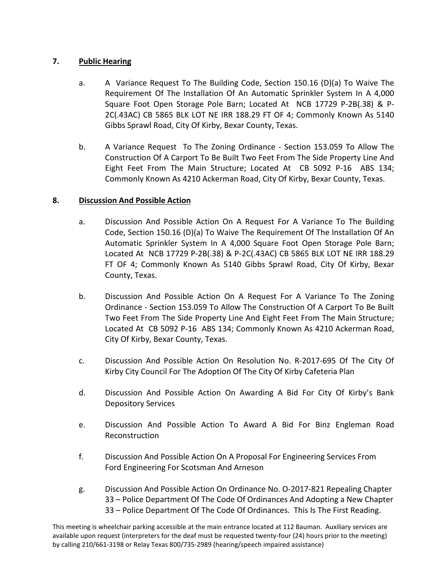# **7. Public Hearing**

- a. A Variance Request To The Building Code, Section 150.16 (D)(a) To Waive The Requirement Of The Installation Of An Automatic Sprinkler System In A 4,000 Square Foot Open Storage Pole Barn; Located At NCB 17729 P-2B(.38) & P-2C(.43AC) CB 5865 BLK LOT NE IRR 188.29 FT OF 4; Commonly Known As 5140 Gibbs Sprawl Road, City Of Kirby, Bexar County, Texas.
- b. A Variance Request To The Zoning Ordinance Section 153.059 To Allow The Construction Of A Carport To Be Built Two Feet From The Side Property Line And Eight Feet From The Main Structure; Located At CB 5092 P-16 ABS 134; Commonly Known As 4210 Ackerman Road, City Of Kirby, Bexar County, Texas.

# **8. Discussion And Possible Action**

- a. Discussion And Possible Action On A Request For A Variance To The Building Code, Section 150.16 (D)(a) To Waive The Requirement Of The Installation Of An Automatic Sprinkler System In A 4,000 Square Foot Open Storage Pole Barn; Located At NCB 17729 P-2B(.38) & P-2C(.43AC) CB 5865 BLK LOT NE IRR 188.29 FT OF 4; Commonly Known As 5140 Gibbs Sprawl Road, City Of Kirby, Bexar County, Texas.
- b. Discussion And Possible Action On A Request For A Variance To The Zoning Ordinance - Section 153.059 To Allow The Construction Of A Carport To Be Built Two Feet From The Side Property Line And Eight Feet From The Main Structure; Located At CB 5092 P-16 ABS 134; Commonly Known As 4210 Ackerman Road, City Of Kirby, Bexar County, Texas.
- c. Discussion And Possible Action On Resolution No. R-2017-695 Of The City Of Kirby City Council For The Adoption Of The City Of Kirby Cafeteria Plan
- d. Discussion And Possible Action On Awarding A Bid For City Of Kirby's Bank Depository Services
- e. Discussion And Possible Action To Award A Bid For Binz Engleman Road Reconstruction
- f. Discussion And Possible Action On A Proposal For Engineering Services From Ford Engineering For Scotsman And Arneson
- g. Discussion And Possible Action On Ordinance No. O-2017-821 Repealing Chapter 33 – Police Department Of The Code Of Ordinances And Adopting a New Chapter 33 – Police Department Of The Code Of Ordinances. This Is The First Reading.